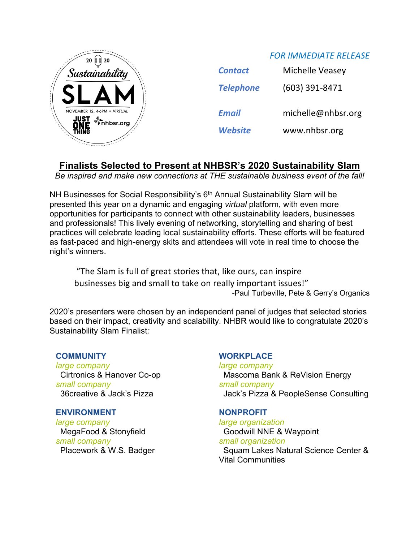

| <b>Contact</b>   | Michelle Veasey    |
|------------------|--------------------|
| <b>Telephone</b> | (603) 391-8471     |
| <b>Email</b>     | michelle@nhbsr.org |
| <b>Website</b>   | www.nhbsr.org      |

*FOR IMMEDIATE RELEASE*

# **Finalists Selected to Present at NHBSR's 2020 Sustainability Slam**

*Be inspired and make new connections at THE sustainable business event of the fall!*

NH Businesses for Social Responsibility's 6<sup>th</sup> Annual Sustainability Slam will be presented this year on a dynamic and engaging *virtual* platform, with even more opportunities for participants to connect with other sustainability leaders, businesses and professionals! This lively evening of networking, storytelling and sharing of best practices will celebrate leading local sustainability efforts. These efforts will be featured as fast-paced and high-energy skits and attendees will vote in real time to choose the night's winners.

"The Slam is full of great stories that, like ours, can inspire businesses big and small to take on really important issues!" -Paul Turbeville, Pete & Gerry's Organics

2020's presenters were chosen by an independent panel of judges that selected stories based on their impact, creativity and scalability. NHBR would like to congratulate 2020's Sustainability Slam Finalist*:*

## **COMMUNITY**

*large company* Cirtronics & Hanover Co-op *small company* 36creative & Jack's Pizza

## **ENVIRONMENT**

*large company* MegaFood & Stonyfield *small company* Placework & W.S. Badger

## **WORKPLACE**

*large company* Mascoma Bank & ReVision Energy *small company* Jack's Pizza & PeopleSense Consulting

## **NONPROFIT**

*large organization* Goodwill NNE & Waypoint *small organization* Squam Lakes Natural Science Center & Vital Communities